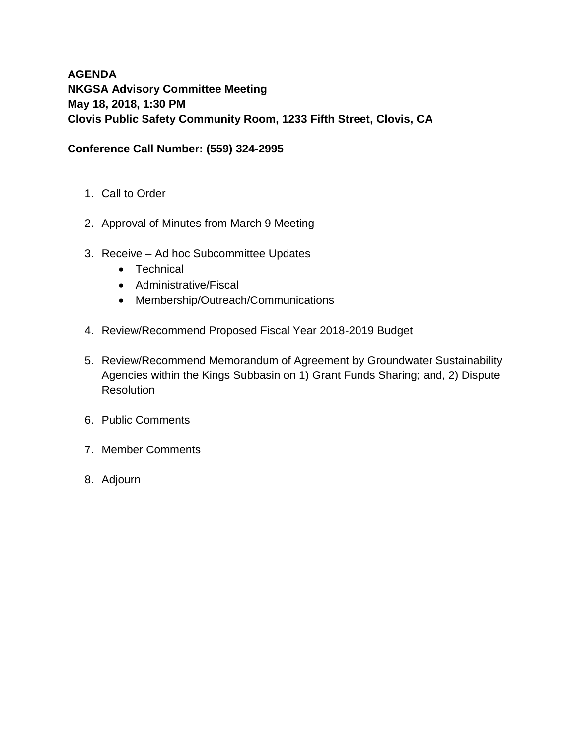# **AGENDA NKGSA Advisory Committee Meeting May 18, 2018, 1:30 PM Clovis Public Safety Community Room, 1233 Fifth Street, Clovis, CA**

### **Conference Call Number: (559) 324-2995**

- 1. Call to Order
- 2. Approval of Minutes from March 9 Meeting
- 3. Receive Ad hoc Subcommittee Updates
	- Technical
	- Administrative/Fiscal
	- Membership/Outreach/Communications
- 4. Review/Recommend Proposed Fiscal Year 2018-2019 Budget
- 5. Review/Recommend Memorandum of Agreement by Groundwater Sustainability Agencies within the Kings Subbasin on 1) Grant Funds Sharing; and, 2) Dispute **Resolution**
- 6. Public Comments
- 7. Member Comments
- 8. Adjourn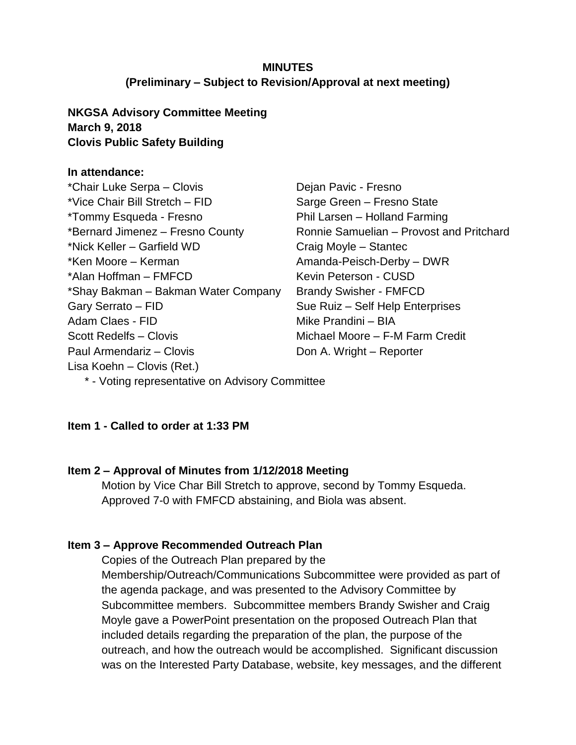### **MINUTES (Preliminary – Subject to Revision/Approval at next meeting)**

### **NKGSA Advisory Committee Meeting March 9, 2018 Clovis Public Safety Building**

### **In attendance:**

\*Chair Luke Serpa – Clovis \*Vice Chair Bill Stretch – FID \*Tommy Esqueda - Fresno \*Bernard Jimenez – Fresno County \*Nick Keller – Garfield WD \*Ken Moore – Kerman \*Alan Hoffman – FMFCD \*Shay Bakman – Bakman Water Company Gary Serrato – FID Adam Claes - FID Scott Redelfs – Clovis Paul Armendariz – Clovis Lisa Koehn – Clovis (Ret.)

Dejan Pavic - Fresno Sarge Green – Fresno State Phil Larsen – Holland Farming Ronnie Samuelian – Provost and Pritchard Craig Moyle – Stantec Amanda-Peisch-Derby – DWR Kevin Peterson - CUSD Brandy Swisher - FMFCD Sue Ruiz – Self Help Enterprises Mike Prandini – BIA Michael Moore – F-M Farm Credit Don A. Wright – Reporter

\* - Voting representative on Advisory Committee

### **Item 1 - Called to order at 1:33 PM**

### **Item 2 – Approval of Minutes from 1/12/2018 Meeting**

Motion by Vice Char Bill Stretch to approve, second by Tommy Esqueda. Approved 7-0 with FMFCD abstaining, and Biola was absent.

### **Item 3 – Approve Recommended Outreach Plan**

Copies of the Outreach Plan prepared by the Membership/Outreach/Communications Subcommittee were provided as part of the agenda package, and was presented to the Advisory Committee by Subcommittee members. Subcommittee members Brandy Swisher and Craig Moyle gave a PowerPoint presentation on the proposed Outreach Plan that included details regarding the preparation of the plan, the purpose of the outreach, and how the outreach would be accomplished. Significant discussion was on the Interested Party Database, website, key messages, and the different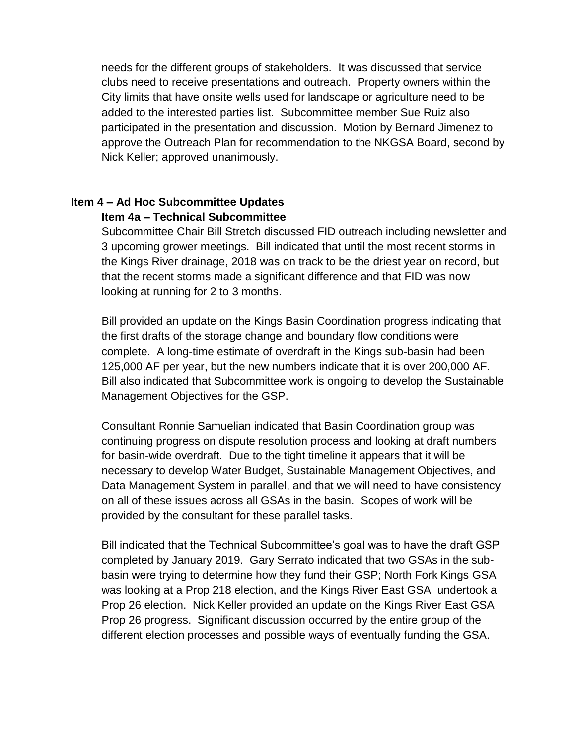needs for the different groups of stakeholders. It was discussed that service clubs need to receive presentations and outreach. Property owners within the City limits that have onsite wells used for landscape or agriculture need to be added to the interested parties list. Subcommittee member Sue Ruiz also participated in the presentation and discussion. Motion by Bernard Jimenez to approve the Outreach Plan for recommendation to the NKGSA Board, second by Nick Keller; approved unanimously.

### **Item 4 – Ad Hoc Subcommittee Updates Item 4a – Technical Subcommittee**

Subcommittee Chair Bill Stretch discussed FID outreach including newsletter and 3 upcoming grower meetings. Bill indicated that until the most recent storms in the Kings River drainage, 2018 was on track to be the driest year on record, but that the recent storms made a significant difference and that FID was now looking at running for 2 to 3 months.

Bill provided an update on the Kings Basin Coordination progress indicating that the first drafts of the storage change and boundary flow conditions were complete. A long-time estimate of overdraft in the Kings sub-basin had been 125,000 AF per year, but the new numbers indicate that it is over 200,000 AF. Bill also indicated that Subcommittee work is ongoing to develop the Sustainable Management Objectives for the GSP.

Consultant Ronnie Samuelian indicated that Basin Coordination group was continuing progress on dispute resolution process and looking at draft numbers for basin-wide overdraft. Due to the tight timeline it appears that it will be necessary to develop Water Budget, Sustainable Management Objectives, and Data Management System in parallel, and that we will need to have consistency on all of these issues across all GSAs in the basin. Scopes of work will be provided by the consultant for these parallel tasks.

Bill indicated that the Technical Subcommittee's goal was to have the draft GSP completed by January 2019. Gary Serrato indicated that two GSAs in the subbasin were trying to determine how they fund their GSP; North Fork Kings GSA was looking at a Prop 218 election, and the Kings River East GSA undertook a Prop 26 election. Nick Keller provided an update on the Kings River East GSA Prop 26 progress. Significant discussion occurred by the entire group of the different election processes and possible ways of eventually funding the GSA.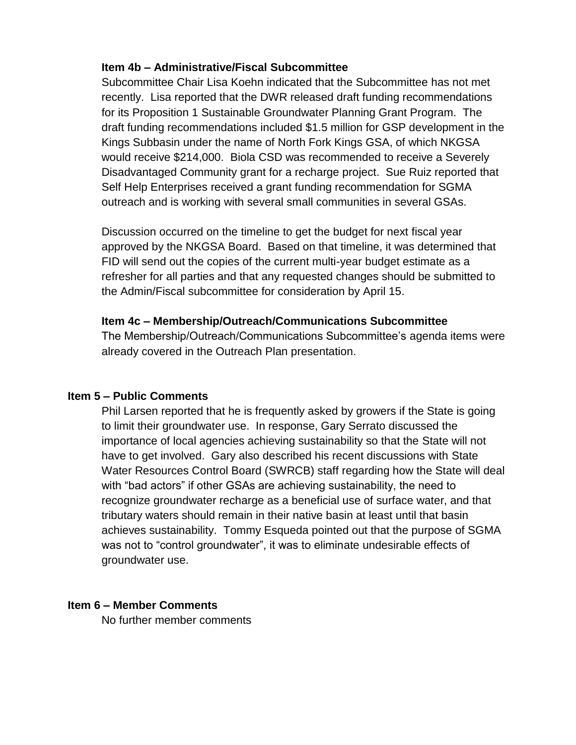### **Item 4b – Administrative/Fiscal Subcommittee**

Subcommittee Chair Lisa Koehn indicated that the Subcommittee has not met recently. Lisa reported that the DWR released draft funding recommendations for its Proposition 1 Sustainable Groundwater Planning Grant Program. The draft funding recommendations included \$1.5 million for GSP development in the Kings Subbasin under the name of North Fork Kings GSA, of which NKGSA would receive \$214,000. Biola CSD was recommended to receive a Severely Disadvantaged Community grant for a recharge project. Sue Ruiz reported that Self Help Enterprises received a grant funding recommendation for SGMA outreach and is working with several small communities in several GSAs.

Discussion occurred on the timeline to get the budget for next fiscal year approved by the NKGSA Board. Based on that timeline, it was determined that FID will send out the copies of the current multi-year budget estimate as a refresher for all parties and that any requested changes should be submitted to the Admin/Fiscal subcommittee for consideration by April 15.

### **Item 4c – Membership/Outreach/Communications Subcommittee**

The Membership/Outreach/Communications Subcommittee's agenda items were already covered in the Outreach Plan presentation.

#### **Item 5 – Public Comments**

Phil Larsen reported that he is frequently asked by growers if the State is going to limit their groundwater use. In response, Gary Serrato discussed the importance of local agencies achieving sustainability so that the State will not have to get involved. Gary also described his recent discussions with State Water Resources Control Board (SWRCB) staff regarding how the State will deal with "bad actors" if other GSAs are achieving sustainability, the need to recognize groundwater recharge as a beneficial use of surface water, and that tributary waters should remain in their native basin at least until that basin achieves sustainability. Tommy Esqueda pointed out that the purpose of SGMA was not to "control groundwater", it was to eliminate undesirable effects of groundwater use.

#### **Item 6 – Member Comments**

No further member comments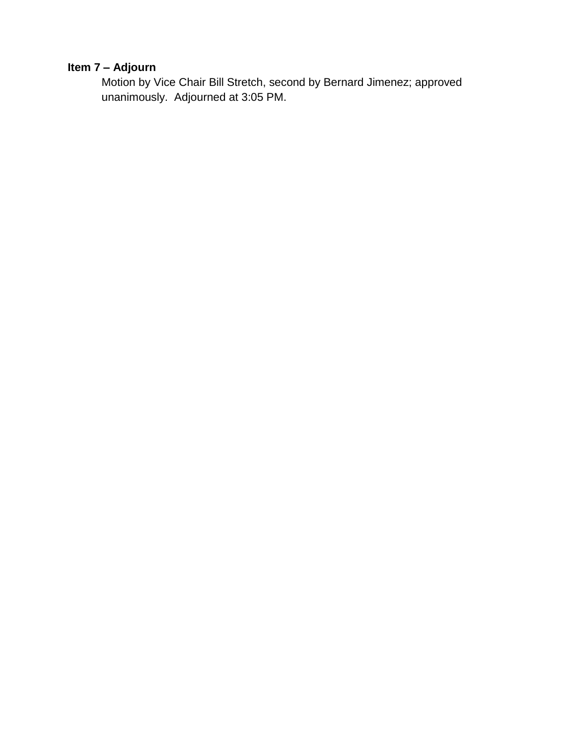# **Item 7 – Adjourn**

Motion by Vice Chair Bill Stretch, second by Bernard Jimenez; approved unanimously. Adjourned at 3:05 PM.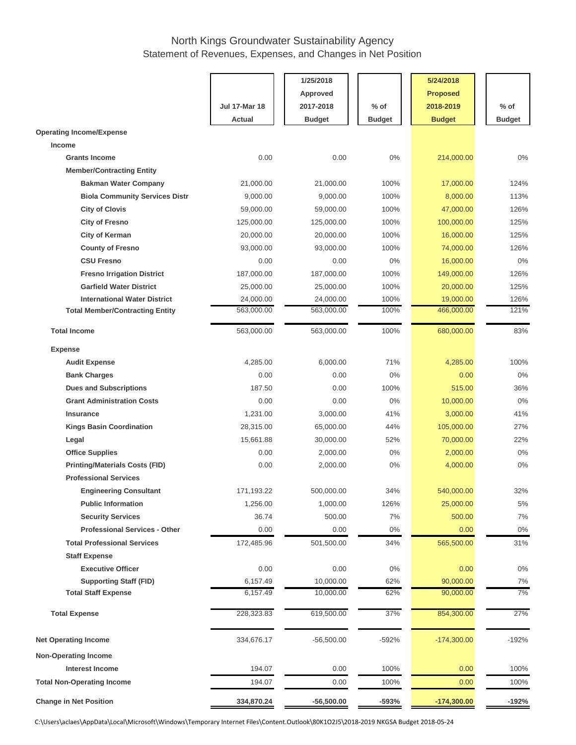### North Kings Groundwater Sustainability Agency Statement of Revenues, Expenses, and Changes in Net Position

|                                        |                      | 1/25/2018       |               | 5/24/2018       |               |
|----------------------------------------|----------------------|-----------------|---------------|-----------------|---------------|
|                                        |                      |                 |               |                 |               |
|                                        |                      | <b>Approved</b> |               | <b>Proposed</b> |               |
|                                        | <b>Jul 17-Mar 18</b> | 2017-2018       | $%$ of        | 2018-2019       | $%$ of        |
|                                        | Actual               | <b>Budget</b>   | <b>Budget</b> | <b>Budget</b>   | <b>Budget</b> |
| <b>Operating Income/Expense</b>        |                      |                 |               |                 |               |
| <b>Income</b>                          |                      |                 |               |                 |               |
| <b>Grants Income</b>                   | 0.00                 | 0.00            | 0%            | 214,000.00      | 0%            |
| <b>Member/Contracting Entity</b>       |                      |                 |               |                 |               |
| <b>Bakman Water Company</b>            | 21,000.00            | 21,000.00       | 100%          | 17,000.00       | 124%          |
| <b>Biola Community Services Distr</b>  | 9,000.00             | 9,000.00        | 100%          | 8,000.00        | 113%          |
| <b>City of Clovis</b>                  | 59,000.00            | 59,000.00       | 100%          | 47,000.00       | 126%          |
| <b>City of Fresno</b>                  | 125,000.00           | 125,000.00      | 100%          | 100,000.00      | 125%          |
| <b>City of Kerman</b>                  | 20,000.00            | 20,000.00       | 100%          | 16,000.00       | 125%          |
| <b>County of Fresno</b>                | 93,000.00            | 93,000.00       | 100%          | 74,000.00       | 126%          |
| <b>CSU Fresno</b>                      | 0.00                 | 0.00            | 0%            | 16,000.00       | 0%            |
| <b>Fresno Irrigation District</b>      | 187,000.00           | 187,000.00      | 100%          | 149,000.00      | 126%          |
| <b>Garfield Water District</b>         | 25,000.00            | 25,000.00       | 100%          | 20,000.00       | 125%          |
| <b>International Water District</b>    | 24,000.00            | 24,000.00       | 100%          | 19,000.00       | 126%          |
| <b>Total Member/Contracting Entity</b> | 563,000.00           | 563,000.00      | 100%          | 466,000.00      | 121%          |
| <b>Total Income</b>                    | 563,000.00           | 563,000.00      | 100%          | 680,000.00      | 83%           |
|                                        |                      |                 |               |                 |               |
| <b>Expense</b>                         |                      |                 |               |                 |               |
| <b>Audit Expense</b>                   | 4,285.00             | 6,000.00        | 71%           | 4,285.00        | 100%          |
| <b>Bank Charges</b>                    | 0.00                 | 0.00            | 0%            | 0.00            | 0%            |
| <b>Dues and Subscriptions</b>          | 187.50               | 0.00            | 100%          | 515.00          | 36%           |
| <b>Grant Administration Costs</b>      | 0.00                 | 0.00            | 0%            | 10,000.00       | 0%            |
| <b>Insurance</b>                       | 1,231.00             | 3,000.00        | 41%           | 3,000.00        | 41%           |
| <b>Kings Basin Coordination</b>        | 28,315.00            | 65,000.00       | 44%           | 105,000.00      | 27%           |
| Legal                                  | 15,661.88            | 30,000.00       | 52%           | 70,000.00       | 22%           |
| <b>Office Supplies</b>                 | 0.00                 | 2,000.00        | 0%            | 2,000.00        | $0\%$         |
| <b>Printing/Materials Costs (FID)</b>  | 0.00                 | 2,000.00        | 0%            | 4,000.00        | 0%            |
| <b>Professional Services</b>           |                      |                 |               |                 |               |
| <b>Engineering Consultant</b>          | 171,193.22           | 500,000.00      | 34%           | 540,000.00      | 32%           |
| <b>Public Information</b>              | 1,256.00             | 1,000.00        | 126%          | 25,000.00       | 5%            |
| <b>Security Services</b>               | 36.74                | 500.00          | 7%            | 500.00          | 7%            |
| <b>Professional Services - Other</b>   | 0.00                 | 0.00            | $0\%$         | 0.00            | 0%            |
| <b>Total Professional Services</b>     | 172,485.96           | 501,500.00      | 34%           | 565,500.00      | 31%           |
| <b>Staff Expense</b>                   |                      |                 |               |                 |               |
| <b>Executive Officer</b>               | 0.00                 | 0.00            | $0\%$         | 0.00            | $0\%$         |
| <b>Supporting Staff (FID)</b>          | 6,157.49             | 10,000.00       | 62%           | 90,000.00       | $7\%$         |
| <b>Total Staff Expense</b>             | 6,157.49             | 10,000.00       | 62%           | 90,000.00       | 7%            |
| <b>Total Expense</b>                   | 228,323.83           | 619,500.00      | 37%           | 854,300.00      | 27%           |
| <b>Net Operating Income</b>            | 334,676.17           | $-56,500.00$    | $-592%$       | $-174,300.00$   | $-192%$       |
| <b>Non-Operating Income</b>            |                      |                 |               |                 |               |
| <b>Interest Income</b>                 | 194.07               | 0.00            | 100%          | 0.00            | 100%          |
| <b>Total Non-Operating Income</b>      | 194.07               | 0.00            | 100%          | 0.00            | 100%          |
| <b>Change in Net Position</b>          | 334,870.24           | $-56,500.00$    | $-593%$       | $-174,300.00$   | $-192%$       |

C:\Users\aclaes\AppData\Local\Microsoft\Windows\Temporary Internet Files\Content.Outlook\80K1O2J5\2018-2019 NKGSA Budget 2018-05-24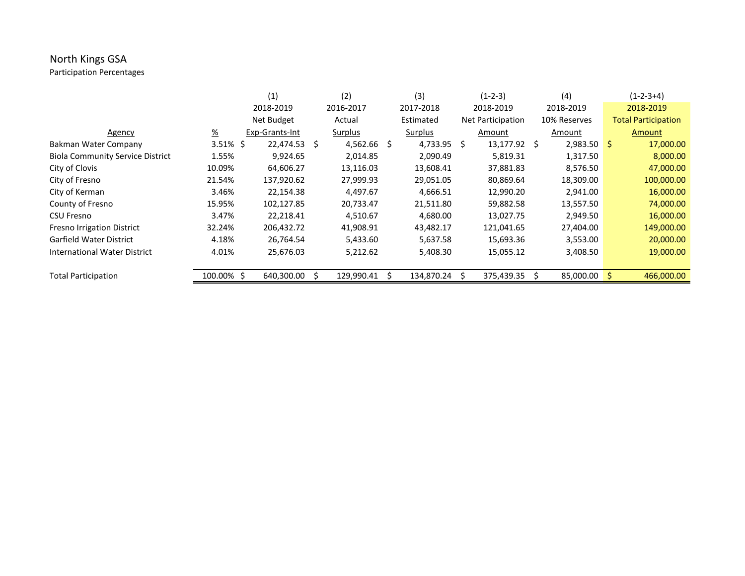# North Kings GSA

Participation Percentages

|                                         |               | (1)            |    | (2)            | (3)            |     | $(1-2-3)$                |   | (4)            | $(1-2-3+4)$                |
|-----------------------------------------|---------------|----------------|----|----------------|----------------|-----|--------------------------|---|----------------|----------------------------|
|                                         |               | 2018-2019      |    | 2016-2017      | 2017-2018      |     | 2018-2019                |   | 2018-2019      | 2018-2019                  |
|                                         |               | Net Budget     |    | Actual         | Estimated      |     | <b>Net Participation</b> |   | 10% Reserves   | <b>Total Participation</b> |
| Agency                                  | $\frac{9}{6}$ | Exp-Grants-Int |    | <b>Surplus</b> | <b>Surplus</b> |     | Amount                   |   | Amount         | Amount                     |
| Bakman Water Company                    | $3.51\%$ \$   | 22,474.53      | S. | $4,562.66$ \$  | 4,733.95       | \$. | 13,177.92                | S | $2,983.50$ \$  | 17,000.00                  |
| <b>Biola Community Service District</b> | 1.55%         | 9,924.65       |    | 2,014.85       | 2,090.49       |     | 5,819.31                 |   | 1,317.50       | 8,000.00                   |
| City of Clovis                          | 10.09%        | 64,606.27      |    | 13,116.03      | 13,608.41      |     | 37,881.83                |   | 8,576.50       | 47,000.00                  |
| City of Fresno                          | 21.54%        | 137,920.62     |    | 27,999.93      | 29,051.05      |     | 80,869.64                |   | 18,309.00      | 100,000.00                 |
| City of Kerman                          | 3.46%         | 22,154.38      |    | 4,497.67       | 4,666.51       |     | 12,990.20                |   | 2,941.00       | 16,000.00                  |
| County of Fresno                        | 15.95%        | 102,127.85     |    | 20,733.47      | 21,511.80      |     | 59,882.58                |   | 13,557.50      | 74,000.00                  |
| <b>CSU Fresno</b>                       | 3.47%         | 22,218.41      |    | 4,510.67       | 4,680.00       |     | 13,027.75                |   | 2,949.50       | 16,000.00                  |
| <b>Fresno Irrigation District</b>       | 32.24%        | 206,432.72     |    | 41,908.91      | 43,482.17      |     | 121,041.65               |   | 27,404.00      | 149,000.00                 |
| Garfield Water District                 | 4.18%         | 26,764.54      |    | 5,433.60       | 5,637.58       |     | 15,693.36                |   | 3,553.00       | 20,000.00                  |
| International Water District            | 4.01%         | 25,676.03      |    | 5,212.62       | 5,408.30       |     | 15,055.12                |   | 3,408.50       | 19,000.00                  |
|                                         |               |                |    |                |                |     |                          |   |                |                            |
| <b>Total Participation</b>              | 100.00% \$    | 640,300.00     |    | 129,990.41     | 134,870.24     |     | 375,439.35               |   | $85,000.00$ \$ | 466,000.00                 |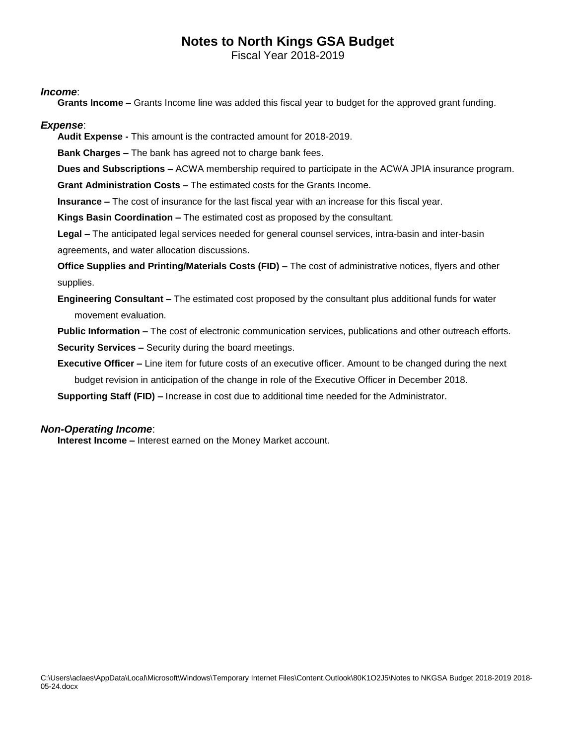# **Notes to North Kings GSA Budget**

Fiscal Year 2018-2019

#### *Income*:

**Grants Income –** Grants Income line was added this fiscal year to budget for the approved grant funding.

#### *Expense*:

**Audit Expense -** This amount is the contracted amount for 2018-2019.

**Bank Charges –** The bank has agreed not to charge bank fees.

**Dues and Subscriptions –** ACWA membership required to participate in the ACWA JPIA insurance program.

**Grant Administration Costs –** The estimated costs for the Grants Income.

**Insurance –** The cost of insurance for the last fiscal year with an increase for this fiscal year.

**Kings Basin Coordination –** The estimated cost as proposed by the consultant.

**Legal –** The anticipated legal services needed for general counsel services, intra-basin and inter-basin agreements, and water allocation discussions.

**Office Supplies and Printing/Materials Costs (FID) –** The cost of administrative notices, flyers and other supplies.

**Engineering Consultant –** The estimated cost proposed by the consultant plus additional funds for water movement evaluation.

**Public Information –** The cost of electronic communication services, publications and other outreach efforts. **Security Services –** Security during the board meetings.

**Executive Officer –** Line item for future costs of an executive officer. Amount to be changed during the next budget revision in anticipation of the change in role of the Executive Officer in December 2018.

**Supporting Staff (FID) –** Increase in cost due to additional time needed for the Administrator.

#### *Non-Operating Income*:

**Interest Income –** Interest earned on the Money Market account.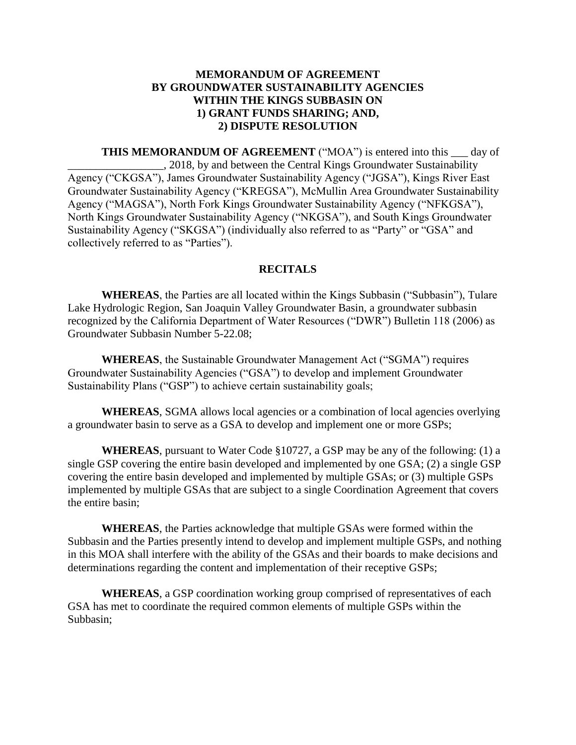### **MEMORANDUM OF AGREEMENT BY GROUNDWATER SUSTAINABILITY AGENCIES WITHIN THE KINGS SUBBASIN ON 1) GRANT FUNDS SHARING; AND, 2) DISPUTE RESOLUTION**

**THIS MEMORANDUM OF AGREEMENT** ("MOA") is entered into this day of \_\_\_\_\_\_\_\_\_\_\_\_\_\_\_\_\_, 2018, by and between the Central Kings Groundwater Sustainability Agency ("CKGSA"), James Groundwater Sustainability Agency ("JGSA"), Kings River East Groundwater Sustainability Agency ("KREGSA"), McMullin Area Groundwater Sustainability Agency ("MAGSA"), North Fork Kings Groundwater Sustainability Agency ("NFKGSA"), North Kings Groundwater Sustainability Agency ("NKGSA"), and South Kings Groundwater Sustainability Agency ("SKGSA") (individually also referred to as "Party" or "GSA" and collectively referred to as "Parties").

#### **RECITALS**

**WHEREAS**, the Parties are all located within the Kings Subbasin ("Subbasin"), Tulare Lake Hydrologic Region, San Joaquin Valley Groundwater Basin, a groundwater subbasin recognized by the California Department of Water Resources ("DWR") Bulletin 118 (2006) as Groundwater Subbasin Number 5-22.08;

**WHEREAS**, the Sustainable Groundwater Management Act ("SGMA") requires Groundwater Sustainability Agencies ("GSA") to develop and implement Groundwater Sustainability Plans ("GSP") to achieve certain sustainability goals;

**WHEREAS**, SGMA allows local agencies or a combination of local agencies overlying a groundwater basin to serve as a GSA to develop and implement one or more GSPs;

**WHEREAS**, pursuant to Water Code §10727, a GSP may be any of the following: (1) a single GSP covering the entire basin developed and implemented by one GSA; (2) a single GSP covering the entire basin developed and implemented by multiple GSAs; or (3) multiple GSPs implemented by multiple GSAs that are subject to a single Coordination Agreement that covers the entire basin;

**WHEREAS**, the Parties acknowledge that multiple GSAs were formed within the Subbasin and the Parties presently intend to develop and implement multiple GSPs, and nothing in this MOA shall interfere with the ability of the GSAs and their boards to make decisions and determinations regarding the content and implementation of their receptive GSPs;

**WHEREAS**, a GSP coordination working group comprised of representatives of each GSA has met to coordinate the required common elements of multiple GSPs within the Subbasin;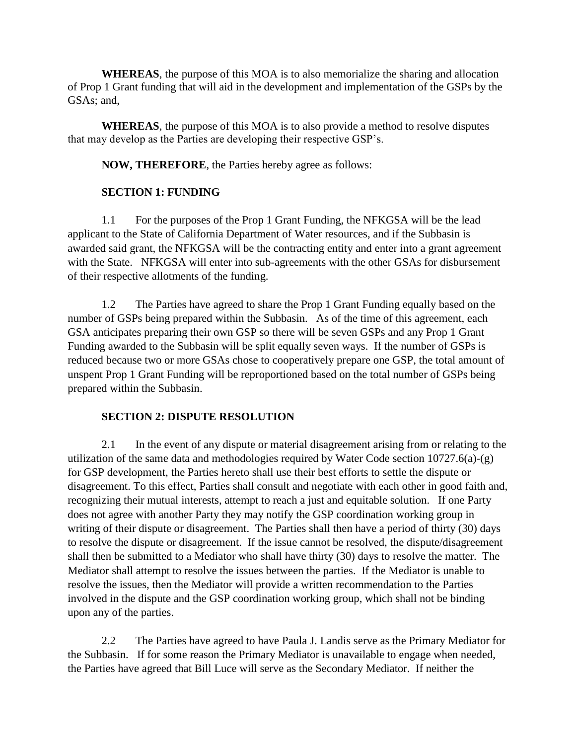**WHEREAS**, the purpose of this MOA is to also memorialize the sharing and allocation of Prop 1 Grant funding that will aid in the development and implementation of the GSPs by the GSAs; and,

**WHEREAS**, the purpose of this MOA is to also provide a method to resolve disputes that may develop as the Parties are developing their respective GSP's.

**NOW, THEREFORE**, the Parties hereby agree as follows:

### **SECTION 1: FUNDING**

1.1 For the purposes of the Prop 1 Grant Funding, the NFKGSA will be the lead applicant to the State of California Department of Water resources, and if the Subbasin is awarded said grant, the NFKGSA will be the contracting entity and enter into a grant agreement with the State. NFKGSA will enter into sub-agreements with the other GSAs for disbursement of their respective allotments of the funding.

1.2 The Parties have agreed to share the Prop 1 Grant Funding equally based on the number of GSPs being prepared within the Subbasin. As of the time of this agreement, each GSA anticipates preparing their own GSP so there will be seven GSPs and any Prop 1 Grant Funding awarded to the Subbasin will be split equally seven ways. If the number of GSPs is reduced because two or more GSAs chose to cooperatively prepare one GSP, the total amount of unspent Prop 1 Grant Funding will be reproportioned based on the total number of GSPs being prepared within the Subbasin.

### **SECTION 2: DISPUTE RESOLUTION**

2.1 In the event of any dispute or material disagreement arising from or relating to the utilization of the same data and methodologies required by Water Code section  $10727.6(a)-(g)$ for GSP development, the Parties hereto shall use their best efforts to settle the dispute or disagreement. To this effect, Parties shall consult and negotiate with each other in good faith and, recognizing their mutual interests, attempt to reach a just and equitable solution. If one Party does not agree with another Party they may notify the GSP coordination working group in writing of their dispute or disagreement. The Parties shall then have a period of thirty (30) days to resolve the dispute or disagreement. If the issue cannot be resolved, the dispute/disagreement shall then be submitted to a Mediator who shall have thirty (30) days to resolve the matter. The Mediator shall attempt to resolve the issues between the parties. If the Mediator is unable to resolve the issues, then the Mediator will provide a written recommendation to the Parties involved in the dispute and the GSP coordination working group, which shall not be binding upon any of the parties.

2.2 The Parties have agreed to have Paula J. Landis serve as the Primary Mediator for the Subbasin. If for some reason the Primary Mediator is unavailable to engage when needed, the Parties have agreed that Bill Luce will serve as the Secondary Mediator. If neither the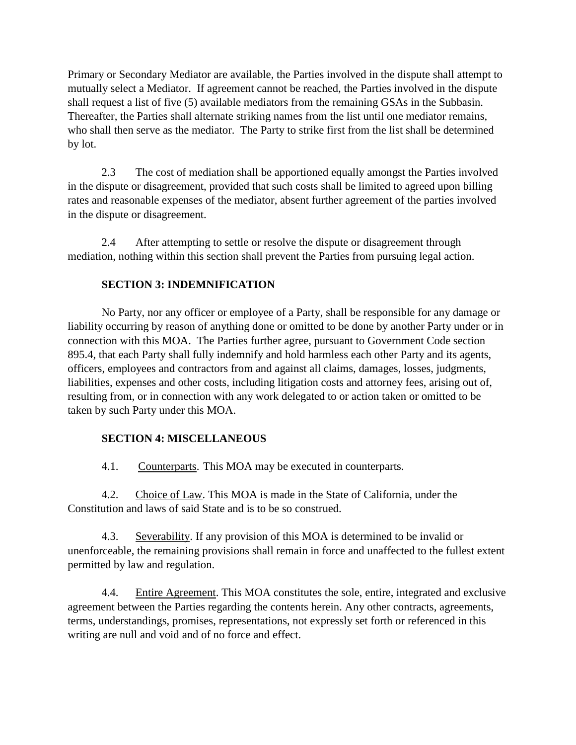Primary or Secondary Mediator are available, the Parties involved in the dispute shall attempt to mutually select a Mediator. If agreement cannot be reached, the Parties involved in the dispute shall request a list of five (5) available mediators from the remaining GSAs in the Subbasin. Thereafter, the Parties shall alternate striking names from the list until one mediator remains, who shall then serve as the mediator. The Party to strike first from the list shall be determined by lot.

2.3 The cost of mediation shall be apportioned equally amongst the Parties involved in the dispute or disagreement, provided that such costs shall be limited to agreed upon billing rates and reasonable expenses of the mediator, absent further agreement of the parties involved in the dispute or disagreement.

2.4 After attempting to settle or resolve the dispute or disagreement through mediation, nothing within this section shall prevent the Parties from pursuing legal action.

### **SECTION 3: INDEMNIFICATION**

No Party, nor any officer or employee of a Party, shall be responsible for any damage or liability occurring by reason of anything done or omitted to be done by another Party under or in connection with this MOA. The Parties further agree, pursuant to Government Code section 895.4, that each Party shall fully indemnify and hold harmless each other Party and its agents, officers, employees and contractors from and against all claims, damages, losses, judgments, liabilities, expenses and other costs, including litigation costs and attorney fees, arising out of, resulting from, or in connection with any work delegated to or action taken or omitted to be taken by such Party under this MOA.

### **SECTION 4: MISCELLANEOUS**

4.1. Counterparts. This MOA may be executed in counterparts.

4.2. Choice of Law. This MOA is made in the State of California, under the Constitution and laws of said State and is to be so construed.

4.3. Severability. If any provision of this MOA is determined to be invalid or unenforceable, the remaining provisions shall remain in force and unaffected to the fullest extent permitted by law and regulation.

4.4. Entire Agreement. This MOA constitutes the sole, entire, integrated and exclusive agreement between the Parties regarding the contents herein. Any other contracts, agreements, terms, understandings, promises, representations, not expressly set forth or referenced in this writing are null and void and of no force and effect.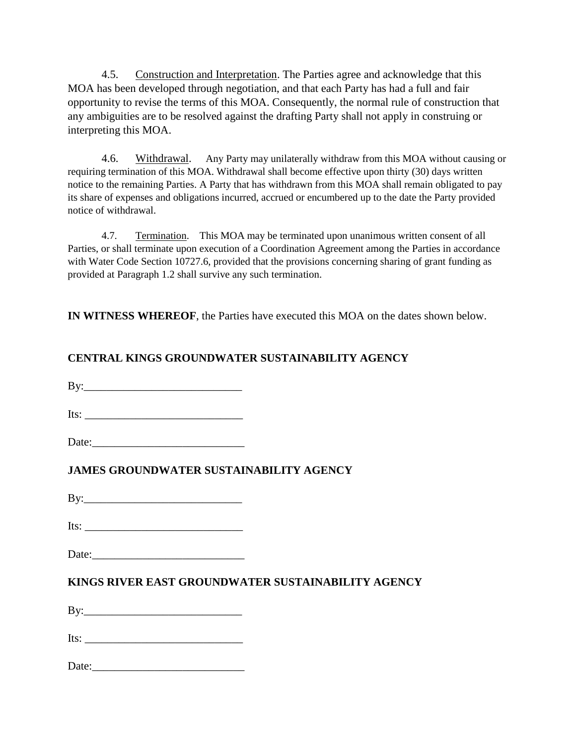4.5. Construction and Interpretation. The Parties agree and acknowledge that this MOA has been developed through negotiation, and that each Party has had a full and fair opportunity to revise the terms of this MOA. Consequently, the normal rule of construction that any ambiguities are to be resolved against the drafting Party shall not apply in construing or interpreting this MOA.

4.6. Withdrawal. Any Party may unilaterally withdraw from this MOA without causing or requiring termination of this MOA. Withdrawal shall become effective upon thirty (30) days written notice to the remaining Parties. A Party that has withdrawn from this MOA shall remain obligated to pay its share of expenses and obligations incurred, accrued or encumbered up to the date the Party provided notice of withdrawal.

4.7. Termination. This MOA may be terminated upon unanimous written consent of all Parties, or shall terminate upon execution of a Coordination Agreement among the Parties in accordance with Water Code Section 10727.6, provided that the provisions concerning sharing of grant funding as provided at Paragraph 1.2 shall survive any such termination.

**IN WITNESS WHEREOF**, the Parties have executed this MOA on the dates shown below.

### **CENTRAL KINGS GROUNDWATER SUSTAINABILITY AGENCY**

 $\mathbf{By:}$ 

Its:

Date:

### **JAMES GROUNDWATER SUSTAINABILITY AGENCY**

 $\mathbf{B} \mathbf{v}$ :

Its: \_\_\_\_\_\_\_\_\_\_\_\_\_\_\_\_\_\_\_\_\_\_\_\_\_\_\_\_

Date:

### **KINGS RIVER EAST GROUNDWATER SUSTAINABILITY AGENCY**

By:\_\_\_\_\_\_\_\_\_\_\_\_\_\_\_\_\_\_\_\_\_\_\_\_\_\_\_\_

Its:

| Date: |  |  |
|-------|--|--|
|       |  |  |
|       |  |  |